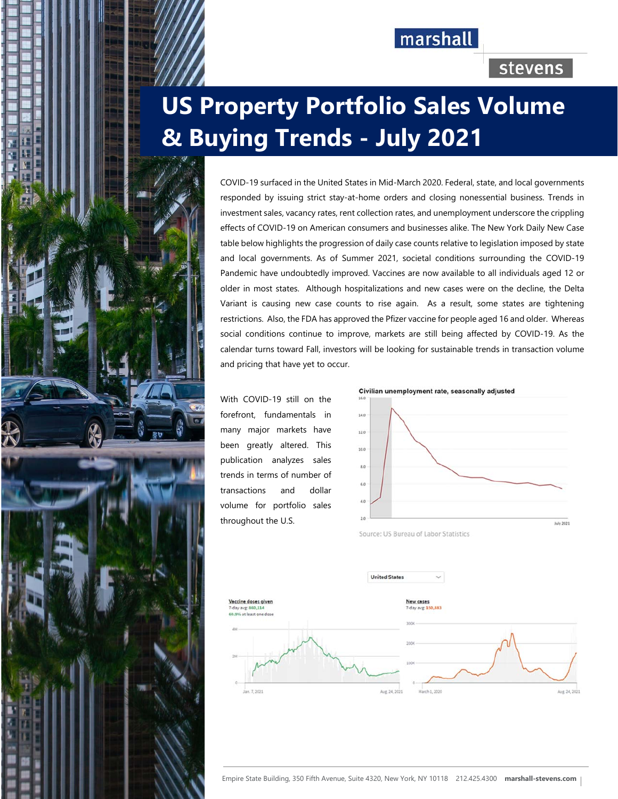## marshall

## stevens

# **US Property Portfolio Sales Volume & Buying Trends - July 2021**

COVID-19 surfaced in the United States in Mid-March 2020. Federal, state, and local governments responded by issuing strict stay-at-home orders and closing nonessential business. Trends in investment sales, vacancy rates, rent collection rates, and unemployment underscore the crippling effects of COVID-19 on American consumers and businesses alike. The New York Daily New Case table below highlights the progression of daily case counts relative to legislation imposed by state and local governments. As of Summer 2021, societal conditions surrounding the COVID-19 Pandemic have undoubtedly improved. Vaccines are now available to all individuals aged 12 or older in most states. Although hospitalizations and new cases were on the decline, the Delta Variant is causing new case counts to rise again. As a result, some states are tightening restrictions. Also, the FDA has approved the Pfizer vaccine for people aged 16 and older. Whereas social conditions continue to improve, markets are still being affected by COVID-19. As the calendar turns toward Fall, investors will be looking for sustainable trends in transaction volume and pricing that have yet to occur.

With COVID-19 still on the forefront, fundamentals in many major markets have been greatly altered. This publication analyzes sales trends in terms of number of transactions and dollar volume for portfolio sales throughout the U.S.

i Biblioth I Holland and





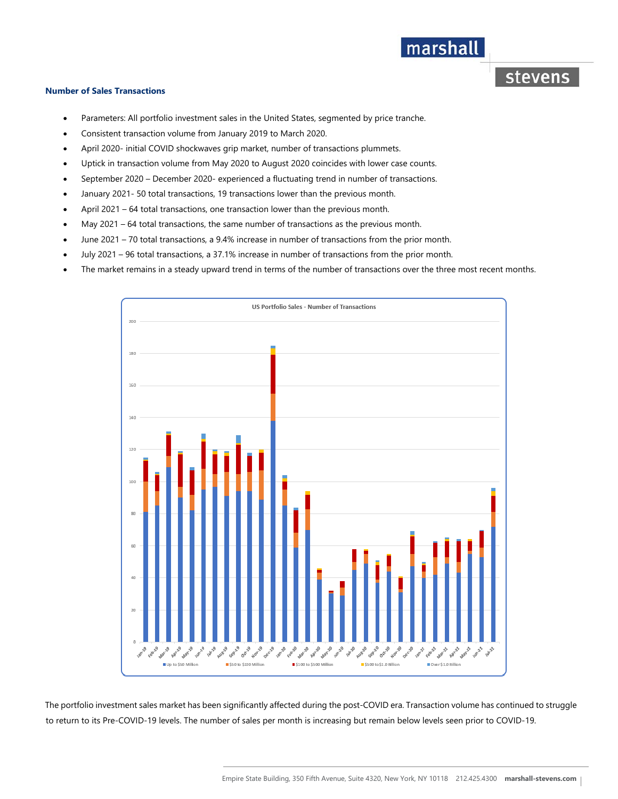## marshall

**stevens** 

#### **Number of Sales Transactions**

- Parameters: All portfolio investment sales in the United States, segmented by price tranche.
- Consistent transaction volume from January 2019 to March 2020.
- April 2020- initial COVID shockwaves grip market, number of transactions plummets.
- Uptick in transaction volume from May 2020 to August 2020 coincides with lower case counts.
- September 2020 December 2020- experienced a fluctuating trend in number of transactions.
- January 2021- 50 total transactions, 19 transactions lower than the previous month.
- April 2021 64 total transactions, one transaction lower than the previous month.
- May 2021 64 total transactions, the same number of transactions as the previous month.
- June 2021 70 total transactions, a 9.4% increase in number of transactions from the prior month.
- July 2021 96 total transactions, a 37.1% increase in number of transactions from the prior month.
- The market remains in a steady upward trend in terms of the number of transactions over the three most recent months.



The portfolio investment sales market has been significantly affected during the post-COVID era. Transaction volume has continued to struggle to return to its Pre-COVID-19 levels. The number of sales per month is increasing but remain below levels seen prior to COVID-19.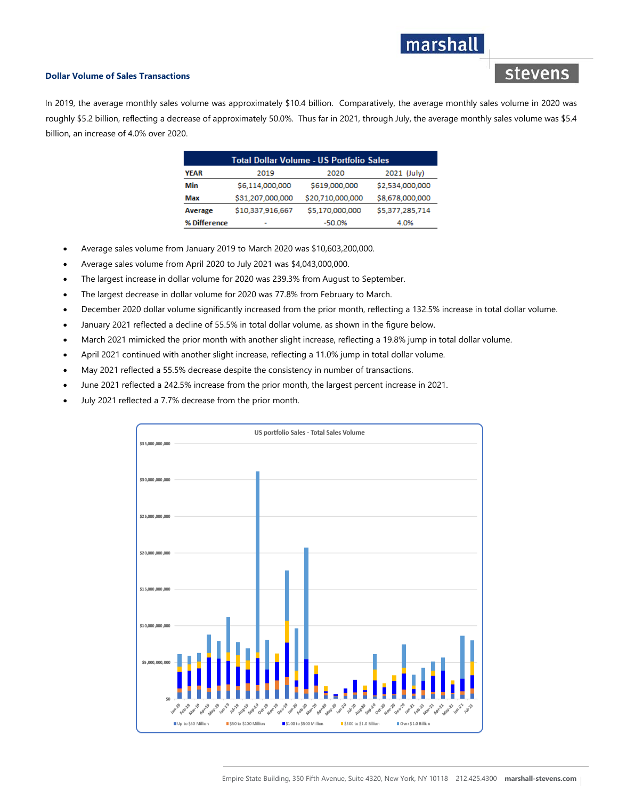## marshall

stevens

#### **Dollar Volume of Sales Transactions**

In 2019, the average monthly sales volume was approximately \$10.4 billion. Comparatively, the average monthly sales volume in 2020 was roughly \$5.2 billion, reflecting a decrease of approximately 50.0%. Thus far in 2021, through July, the average monthly sales volume was \$5.4 billion, an increase of 4.0% over 2020.

| <b>Total Dollar Volume - US Portfolio Sales</b> |                  |                  |                 |
|-------------------------------------------------|------------------|------------------|-----------------|
| <b>YEAR</b>                                     | 2019             | 2020             | 2021 (July)     |
| Min                                             | \$6,114,000,000  | \$619,000,000    | \$2,534,000,000 |
| Max                                             | \$31,207,000,000 | \$20,710,000,000 | \$8,678,000,000 |
| Average                                         | \$10,337,916,667 | \$5,170,000,000  | \$5,377,285,714 |
| % Difference                                    |                  | -50.0%           | 4.0%            |

- Average sales volume from January 2019 to March 2020 was \$10,603,200,000.
- Average sales volume from April 2020 to July 2021 was \$4,043,000,000.
- The largest increase in dollar volume for 2020 was 239.3% from August to September.
- The largest decrease in dollar volume for 2020 was 77.8% from February to March.
- December 2020 dollar volume significantly increased from the prior month, reflecting a 132.5% increase in total dollar volume.
- January 2021 reflected a decline of 55.5% in total dollar volume, as shown in the figure below.
- March 2021 mimicked the prior month with another slight increase, reflecting a 19.8% jump in total dollar volume.
- April 2021 continued with another slight increase, reflecting a 11.0% jump in total dollar volume.
- May 2021 reflected a 55.5% decrease despite the consistency in number of transactions.
- June 2021 reflected a 242.5% increase from the prior month, the largest percent increase in 2021.
- July 2021 reflected a 7.7% decrease from the prior month.